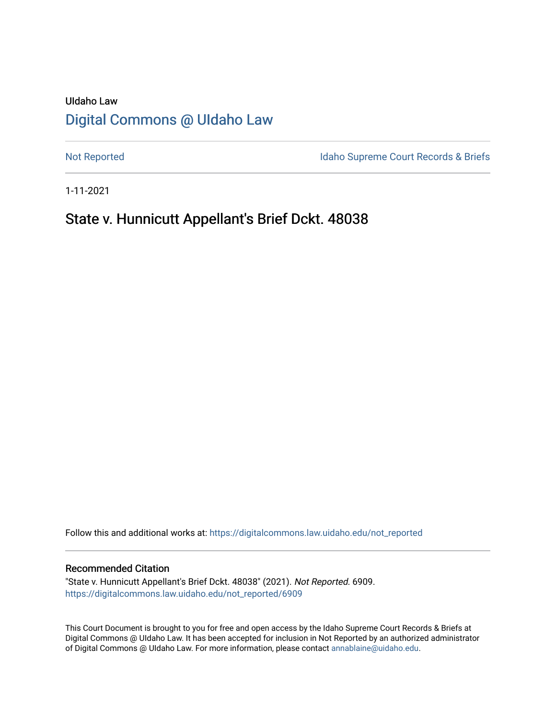# UIdaho Law [Digital Commons @ UIdaho Law](https://digitalcommons.law.uidaho.edu/)

[Not Reported](https://digitalcommons.law.uidaho.edu/not_reported) **Idaho Supreme Court Records & Briefs** 

1-11-2021

## State v. Hunnicutt Appellant's Brief Dckt. 48038

Follow this and additional works at: [https://digitalcommons.law.uidaho.edu/not\\_reported](https://digitalcommons.law.uidaho.edu/not_reported?utm_source=digitalcommons.law.uidaho.edu%2Fnot_reported%2F6909&utm_medium=PDF&utm_campaign=PDFCoverPages) 

#### Recommended Citation

"State v. Hunnicutt Appellant's Brief Dckt. 48038" (2021). Not Reported. 6909. [https://digitalcommons.law.uidaho.edu/not\\_reported/6909](https://digitalcommons.law.uidaho.edu/not_reported/6909?utm_source=digitalcommons.law.uidaho.edu%2Fnot_reported%2F6909&utm_medium=PDF&utm_campaign=PDFCoverPages)

This Court Document is brought to you for free and open access by the Idaho Supreme Court Records & Briefs at Digital Commons @ UIdaho Law. It has been accepted for inclusion in Not Reported by an authorized administrator of Digital Commons @ UIdaho Law. For more information, please contact [annablaine@uidaho.edu](mailto:annablaine@uidaho.edu).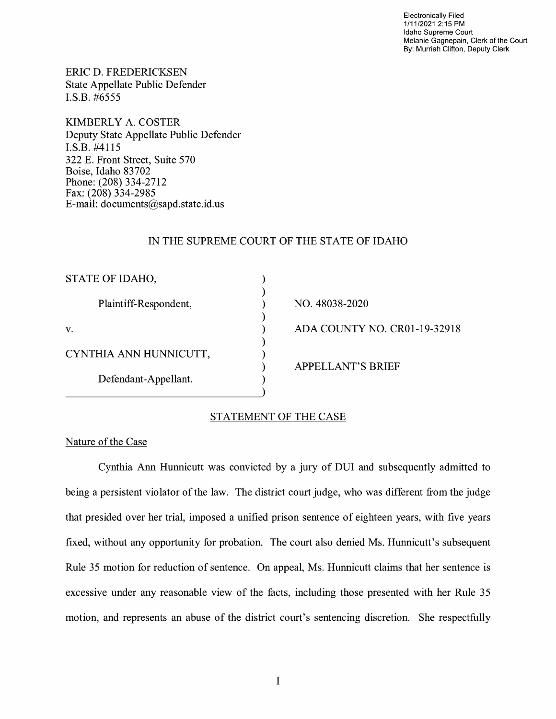Electronically Filed 1/11/2021 2:15 PM Idaho Supreme Court Melanie Gagnepain, Clerk of the Court By: Murriah Clifton, Deputy Clerk

ERIC D. FREDERICKSEN State Appellate Public Defender I.S.B. #6555

KIMBERLY A. COSTER Deputy State Appellate Public Defender I.S.B. #4115 322 E. Front Street, Suite 570 Boise, Idaho 83702 Phone: (208) 334-2712 Fax: (208) 334-2985 E-mail: documents@sapd.state.id. us

#### IN THE SUPREME COURT OF THE STATE OF IDAHO

) ) ) ) ) ) ) ) )

| STATE OF IDAHO,        |
|------------------------|
| Plaintiff-Respondent,  |
| V.                     |
| CYNTHIA ANN HUNNICUTT, |
| Defendant-Appellant.   |

NO. 48038-2020 ADA COUNTY NO. CR0l-19-32918 APPELLANT'S BRIEF

## STATEMENT OF THE CASE

#### Nature of the Case

Cynthia Ann Hunnicutt was convicted by a jury of DUI and subsequently admitted to being a persistent violator of the law. The district court judge, who was different from the judge that presided over her trial, imposed a unified prison sentence of eighteen years, with five years fixed, without any opportunity for probation. The court also denied Ms. Hunnicutt's subsequent Rule 35 motion for reduction of sentence. On appeal, Ms. Hunnicutt claims that her sentence is excessive under any reasonable view of the facts, including those presented with her Rule 35 motion, and represents an abuse of the district court's sentencing discretion. She respectfully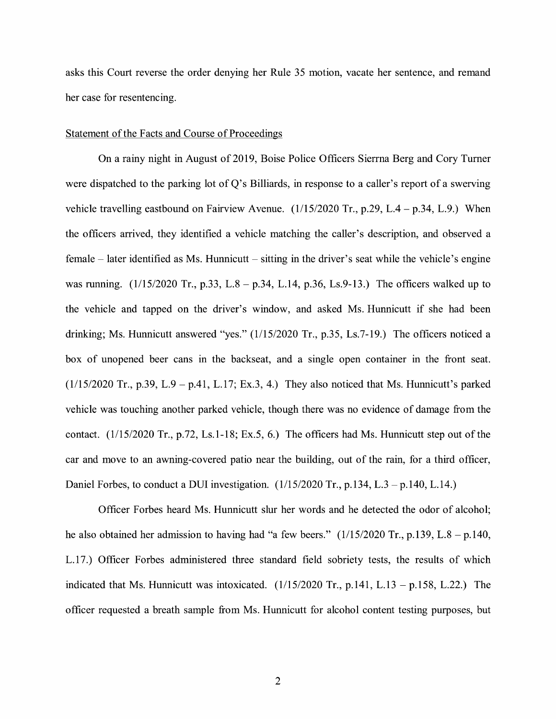asks this Court reverse the order denying her Rule 35 motion, vacate her sentence, and remand her case for resentencing.

#### Statement of the Facts and Course of Proceedings

On a rainy night in August of 2019, Boise Police Officers Sierrna Berg and Cory Turner were dispatched to the parking lot of Q's Billiards, in response to a caller's report of a swerving vehicle travelling eastbound on Fairview Avenue. (1/15/2020 Tr., p.29, L.4 - p.34, L.9.) When the officers arrived, they identified a vehicle matching the caller's description, and observed a female  $-$  later identified as Ms. Hunnicutt  $-$  sitting in the driver's seat while the vehicle's engine was running. (1/15/2020 Tr., p.33, L.8 – p.34, L.14, p.36, Ls.9-13.) The officers walked up to the vehicle and tapped on the driver's window, and asked Ms. Hunnicutt if she had been drinking; Ms. Hunnicutt answered "yes." (1/15/2020 Tr., p.35, Ls.7-19.) The officers noticed a box of unopened beer cans in the backseat, and a single open container in the front seat.  $(1/15/2020$  Tr., p.39, L.9 - p.41, L.17; Ex.3, 4.) They also noticed that Ms. Hunnicutt's parked vehicle was touching another parked vehicle, though there was no evidence of damage from the contact. (1/15/2020 Tr., p.72, Ls.1-18; Ex.5, 6.) The officers had Ms. Hunnicutt step out of the car and move to an awning-covered patio near the building, out of the rain, for a third officer, Daniel Forbes, to conduct a DUI investigation.  $(1/15/2020 \text{ Tr}$ , p.134, L.3 – p.140, L.14.)

Officer Forbes heard Ms. Hunnicutt slur her words and he detected the odor of alcohol; he also obtained her admission to having had "a few beers."  $(1/15/2020 \text{ Tr.}, p.139, L.8 - p.140,$ L.17.) Officer Forbes administered three standard field sobriety tests, the results of which indicated that Ms. Hunnicutt was intoxicated.  $(1/15/2020 \text{ Tr.}, p.141, L.13 - p.158, L.22)$  The officer requested a breath sample from Ms. Hunnicutt for alcohol content testing purposes, but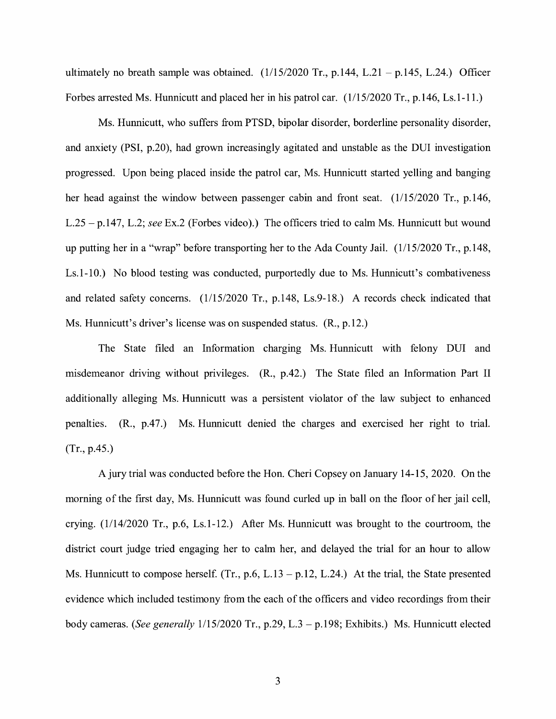ultimately no breath sample was obtained.  $(1/15/2020 \text{ Tr.}, p.144, L.21 - p.145, L.24.)$  Officer Forbes arrested Ms. Hunnicutt and placed her in his patrol car. (1/15/2020 Tr., p.146, Ls.1-11.)

Ms. Hunnicutt, who suffers from PTSD, bipolar disorder, borderline personality disorder, and anxiety (PSI, p.20), had grown increasingly agitated and unstable as the DUI investigation progressed. Upon being placed inside the patrol car, Ms. Hunnicutt started yelling and banging her head against the window between passenger cabin and front seat. (1/15/2020 Tr., p.146, L.25 -p.147, L.2; *see* Ex.2 (Forbes video).) The officers tried to calm Ms. Hunnicutt but wound up putting her in a "wrap" before transporting her to the Ada County Jail. (1/15/2020 Tr., p.148, Ls.1-10.) No blood testing was conducted, purportedly due to Ms. Hunnicutt's combativeness and related safety concerns. (1/15/2020 Tr., p.148, Ls.9-18.) A records check indicated that Ms. Hunnicutt's driver's license was on suspended status. (R., p.12.)

The State filed an Information charging Ms. Hunnicutt with felony DUI and misdemeanor driving without privileges. (R., p.42.) The State filed an Information Part II additionally alleging Ms. Hunnicutt was a persistent violator of the law subject to enhanced penalties. (R., p.47.) Ms. Hunnicutt denied the charges and exercised her right to trial. (Tr., p.45.)

A jury trial was conducted before the Hon. Cheri Copsey on January 14-15, 2020. On the morning of the first day, Ms. Hunnicutt was found curled up in ball on the floor of her jail cell, crying. (1/14/2020 Tr., p.6, Ls.1-12.) After Ms. Hunnicutt was brought to the courtroom, the district court judge tried engaging her to calm her, and delayed the trial for an hour to allow Ms. Hunnicutt to compose herself. (Tr., p.6, L.13 – p.12, L.24.) At the trial, the State presented evidence which included testimony from the each of the officers and video recordings from their body cameras. *(See generally* 1/15/2020 Tr., p.29, L.3 - p.198; Exhibits.) Ms. Hunnicutt elected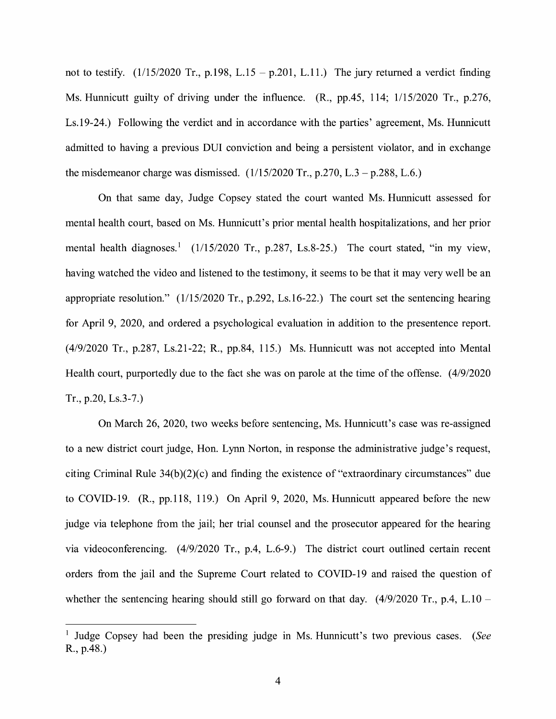not to testify.  $(1/15/2020 \text{ Tr.}, p.198, L.15 - p.201, L.11.)$  The jury returned a verdict finding Ms. Hunnicutt guilty of driving under the influence. (R., pp.45, 114; 1/15/2020 Tr., p.276, Ls.19-24.) Following the verdict and in accordance with the parties' agreement, Ms. Hunnicutt admitted to having a previous DUI conviction and being a persistent violator, and in exchange the misdemeanor charge was dismissed.  $(1/15/2020 \text{ Tr}., p.270, L.3 - p.288, L.6.)$ 

On that same day, Judge Copsey stated the court wanted Ms. Hunnicutt assessed for mental health court, based on Ms. Hunnicutt's prior mental health hospitalizations, and her prior mental health diagnoses.<sup>1</sup> ( $1/15/2020$  Tr., p.287, Ls.8-25.) The court stated, "in my view, having watched the video and listened to the testimony, it seems to be that it may very well be an appropriate resolution." (1/15/2020 Tr., p.292, Ls.16-22.) The court set the sentencing hearing for April 9, 2020, and ordered a psychological evaluation in addition to the presentence report. (4/9/2020 Tr., p.287, Ls.21-22; R., pp.84, 115.) Ms. Hunnicutt was not accepted into Mental Health court, purportedly due to the fact she was on parole at the time of the offense. (4/9/2020 Tr., p.20, Ls.3-7.)

On March 26, 2020, two weeks before sentencing, Ms. Hunnicutt' s case was re-assigned to a new district court judge, Hon. Lynn Norton, in response the administrative judge's request, citing Criminal Rule  $34(b)(2)(c)$  and finding the existence of "extraordinary circumstances" due to COVID-19. (R., pp.118, 119.) On April 9, 2020, Ms. Hunnicutt appeared before the new judge via telephone from the jail; her trial counsel and the prosecutor appeared for the hearing via videoconferencing. (4/9/2020 Tr., p.4, L.6-9.) The district court outlined certain recent orders from the jail and the Supreme Court related to COVID-19 and raised the question of whether the sentencing hearing should still go forward on that day.  $(4/9/2020 \text{ Tr}., p.4, L.10 -$ 

<sup>1</sup> Judge Copsey had been the presiding judge in Ms. Hunnicutt's two previous cases. *(See*  R., p.48.)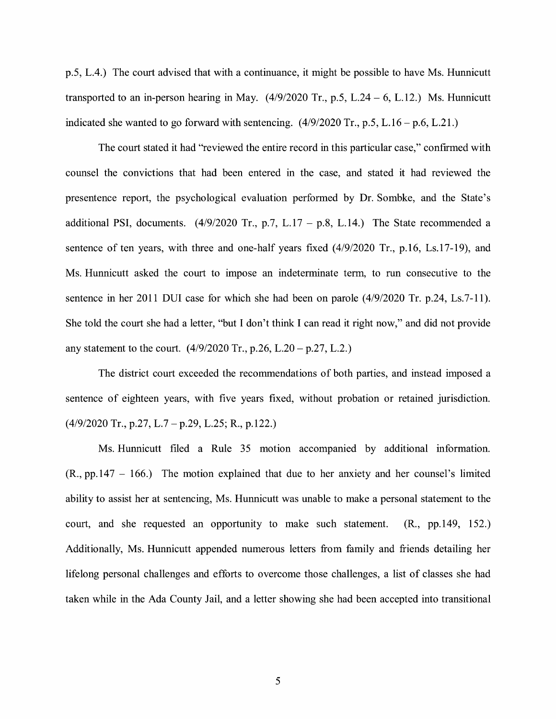p.5, L.4.) The court advised that with a continuance, it might be possible to have Ms. Hunnicutt transported to an in-person hearing in May.  $(4/9/2020 \text{ Tr}., p.5, L.24 - 6, L.12.)$  Ms. Hunnicutt indicated she wanted to go forward with sentencing.  $(4/9/2020 \text{ Tr.}, p.5, L.16 - p.6, L.21.)$ 

The court stated it had "reviewed the entire record in this particular case," confirmed with counsel the convictions that had been entered in the case, and stated it had reviewed the presentence report, the psychological evaluation performed by Dr. Sombke, and the State's additional PSI, documents.  $(4/9/2020 \text{ Tr.}, p.7, L.17 - p.8, L.14.)$  The State recommended a sentence of ten years, with three and one-half years fixed (4/9/2020 Tr., p.16, Ls.17-19), and Ms. Hunnicutt asked the court to impose an indeterminate term, to run consecutive to the sentence in her 2011 DUI case for which she had been on parole (4/9/2020 Tr. p.24, Ls.7-11). She told the court she had a letter, "but I don't think I can read it right now," and did not provide any statement to the court.  $(4/9/2020 \text{ Tr}., p.26, L.20 - p.27, L.2.)$ 

The district court exceeded the recommendations of both parties, and instead imposed a sentence of eighteen years, with five years fixed, without probation or retained jurisdiction.  $(4/9/2020 \text{ Tr.}, p.27, L.7 - p.29, L.25; R., p.122.)$ 

Ms. Hunnicutt filed a Rule 35 motion accompanied by additional information.  $(R., pp.147 - 166.)$  The motion explained that due to her anxiety and her counsel's limited ability to assist her at sentencing, Ms. Hunnicutt was unable to make a personal statement to the court, and she requested an opportunity to make such statement. (R., pp.149, 152.) Additionally, Ms. Hunnicutt appended numerous letters from family and friends detailing her lifelong personal challenges and efforts to overcome those challenges, a list of classes she had taken while in the Ada County Jail, and a letter showing she had been accepted into transitional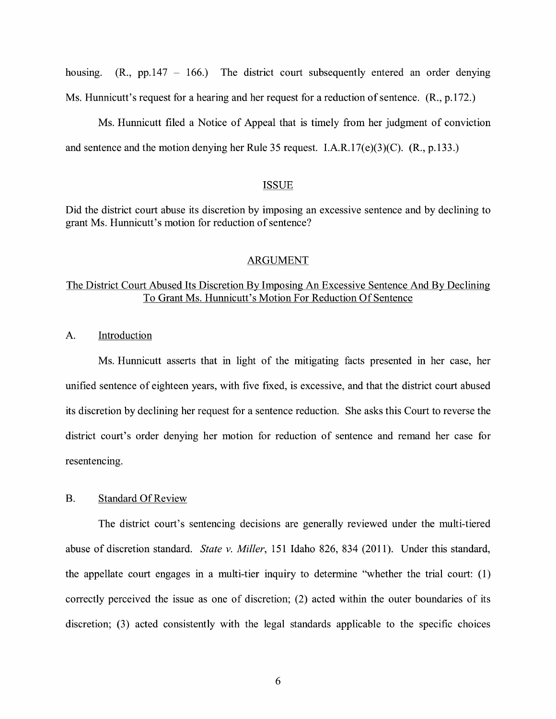housing.  $(R_{1}, pp.147 - 166)$  The district court subsequently entered an order denying Ms. Hunnicutt's request for a hearing and her request for a reduction of sentence. (R., p.172.)

Ms. Hunnicutt filed a Notice of Appeal that is timely from her judgment of conviction and sentence and the motion denying her Rule 35 request. I.A.R.17(e)(3)(C). (R., p.133.)

#### ISSUE

Did the district court abuse its discretion by imposing an excessive sentence and by declining to grant Ms. Hunnicutt's motion for reduction of sentence?

#### ARGUMENT

## The District Court Abused Its Discretion By Imposing An Excessive Sentence And By Declining To Grant Ms. Hunnicutt's Motion For Reduction Of Sentence

A. Introduction

Ms. Hunnicutt asserts that in light of the mitigating facts presented in her case, her unified sentence of eighteen years, with five fixed, is excessive, and that the district court abused its discretion by declining her request for a sentence reduction. She asks this Court to reverse the district court's order denying her motion for reduction of sentence and remand her case for resentencing.

#### B. Standard Of Review

The district court's sentencing decisions are generally reviewed under the multi-tiered abuse of discretion standard. *State v. Miller,* 151 Idaho 826, 834 (2011 ). Under this standard, the appellate court engages in a multi-tier inquiry to determine "whether the trial court:  $(1)$ correctly perceived the issue as one of discretion; (2) acted within the outer boundaries of its discretion; (3) acted consistently with the legal standards applicable to the specific choices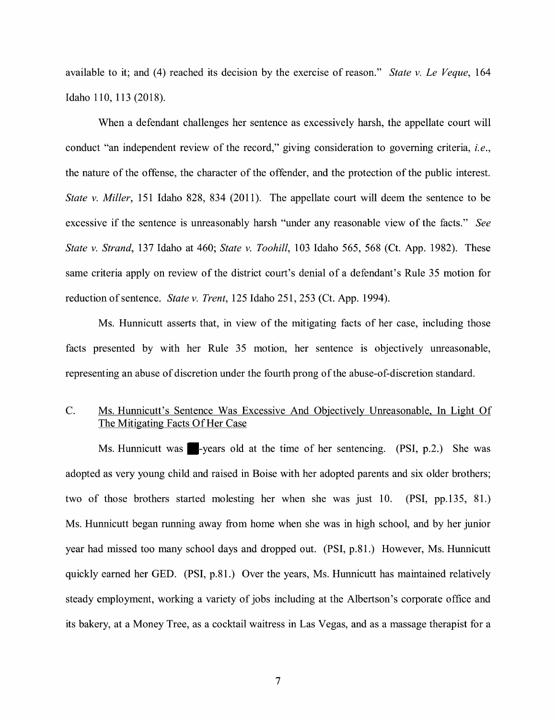available to it; and (4) reached its decision by the exercise of reason." *State v. Le Veque,* 164 Idaho 110, 113 (2018).

When a defendant challenges her sentence as excessively harsh, the appellate court will conduct "an independent review of the record," giving consideration to governing criteria, *i.e.,*  the nature of the offense, the character of the offender, and the protection of the public interest. *State v. Miller,* 151 Idaho 828, 834 (2011). The appellate court will deem the sentence to be excessive if the sentence is unreasonably harsh "under any reasonable view of the facts." *See State v. Strand,* 137 Idaho at 460; *State v. Toohill,* 103 Idaho 565, 568 (Ct. App. 1982). These same criteria apply on review of the district court's denial of a defendant's Rule 35 motion for reduction of sentence. *State v. Trent,* 125 Idaho 251,253 (Ct. App. 1994).

Ms. Hunnicutt asserts that, in view of the mitigating facts of her case, including those facts presented by with her Rule 35 motion, her sentence is objectively unreasonable, representing an abuse of discretion under the fourth prong of the abuse-of-discretion standard.

## C. Ms. Hunnicutt's Sentence Was Excessive And Objectively Unreasonable, In Light Of The Mitigating Facts Of Her Case

Ms. Hunnicutt was  $\blacksquare$ -years old at the time of her sentencing. (PSI, p.2.) She was adopted as very young child and raised in Boise with her adopted parents and six older brothers; two of those brothers started molesting her when she was just 10. (PSI, pp.135, 81.) Ms. Hunnicutt began running away from home when she was in high school, and by her junior year had missed too many school days and dropped out. (PSI, p.81.) However, Ms. Hunnicutt quickly earned her GED. (PSI, p.81.) Over the years, Ms. Hunnicutt has maintained relatively steady employment, working a variety of jobs including at the Albertson's corporate office and its bakery, at a Money Tree, as a cocktail waitress in Las Vegas, and as a massage therapist for a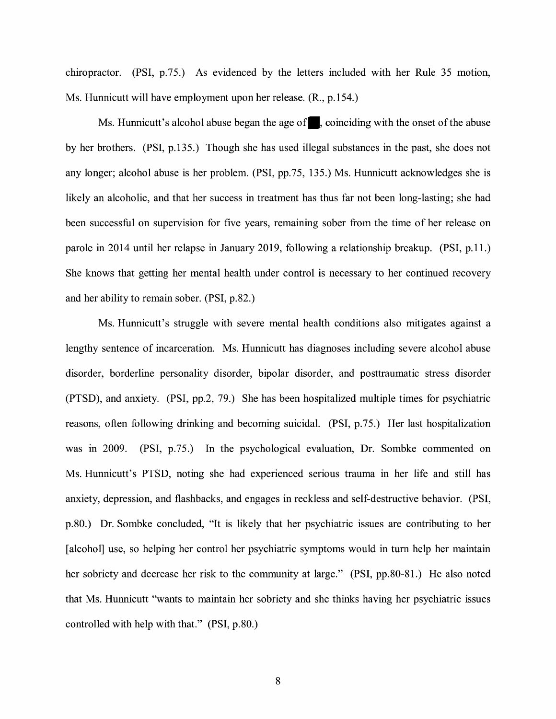chiropractor. (PSI, p.75.) As evidenced by the letters included with her Rule 35 motion, Ms. Hunnicutt will have employment upon her release. (R., p.154.)

Ms. Hunnicutt's alcohol abuse began the age of  $\blacksquare$ , coinciding with the onset of the abuse by her brothers. (PSI, p.135.) Though she has used illegal substances in the past, she does not any longer; alcohol abuse is her problem. (PSI, pp.75, 135.) Ms. Hunnicutt acknowledges she is likely an alcoholic, and that her success in treatment has thus far not been long-lasting; she had been successful on supervision for five years, remaining sober from the time of her release on parole in 2014 until her relapse in January 2019, following a relationship breakup. (PSI, p.11.) She knows that getting her mental health under control is necessary to her continued recovery and her ability to remain sober. (PSI, p.82.)

Ms. Hunnicutt's struggle with severe mental health conditions also mitigates against a lengthy sentence of incarceration. Ms. Hunnicutt has diagnoses including severe alcohol abuse disorder, borderline personality disorder, bipolar disorder, and posttraumatic stress disorder (PTSD), and anxiety. (PSI, pp.2, 79.) She has been hospitalized multiple times for psychiatric reasons, often following drinking and becoming suicidal. (PSI, p.75.) Her last hospitalization was in 2009. (PSI, p.75.) In the psychological evaluation, Dr. Sombke commented on Ms. Hunnicutt's PTSD, noting she had experienced serious trauma in her life and still has anxiety, depression, and flashbacks, and engages in reckless and self-destructive behavior. (PSI, p.80.) Dr. Sombke concluded, "It is likely that her psychiatric issues are contributing to her [alcohol] use, so helping her control her psychiatric symptoms would in tum help her maintain her sobriety and decrease her risk to the community at large." **(PSI,** pp.80-81.) He also noted that Ms. Hunnicutt "wants to maintain her sobriety and she thinks having her psychiatric issues controlled with help with that." **(PSI,** p.80.)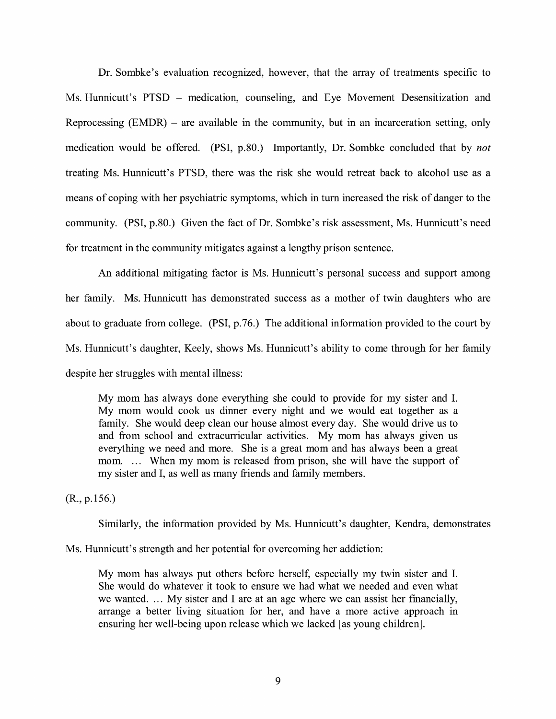Dr. Sombke's evaluation recognized, however, that the array of treatments specific to Ms. Hunnicutt's PTSD – medication, counseling, and Eye Movement Desensitization and Reprocessing  $(EMDR)$  – are available in the community, but in an incarceration setting, only medication would be offered. (PSI, p.80.) Importantly, Dr. Sombke concluded that by *not*  treating Ms. Hunnicutt's PTSD, there was the risk she would retreat back to alcohol use as a means of coping with her psychiatric symptoms, which in tum increased the risk of danger to the community. **(PSI,** p.80.) Given the fact of Dr. Sombke's risk assessment, Ms. Hunnicutt's need for treatment in the community mitigates against a lengthy prison sentence.

An additional mitigating factor is Ms. Hunnicutt's personal success and support among her family. Ms. Hunnicutt has demonstrated success as a mother of twin daughters who are about to graduate from college. **(PSI,** p.76.) The additional information provided to the court by Ms. Hunnicutt's daughter, Keely, shows Ms. Hunnicutt's ability to come through for her family despite her struggles with mental illness:

My mom has always done everything she could to provide for my sister and I. My mom would cook us dinner every night and we would eat together as a family. She would deep clean our house almost every day. She would drive us to and from school and extracurricular activities. My mom has always given us everything we need and more. She is a great mom and has always been a great mom. ... When my mom is released from prison, she will have the support of my sister and I, as well as many friends and family members.

(R., p.156.)

Similarly, the information provided by Ms. Hunnicutt's daughter, Kendra, demonstrates

Ms. Hunnicutt's strength and her potential for overcoming her addiction:

My mom has always put others before herself, especially my twin sister and I. She would do whatever it took to ensure we had what we needed and even what we wanted. ... My sister and I are at an age where we can assist her financially, arrange a better living situation for her, and have a more active approach in ensuring her well-being upon release which we lacked [as young children].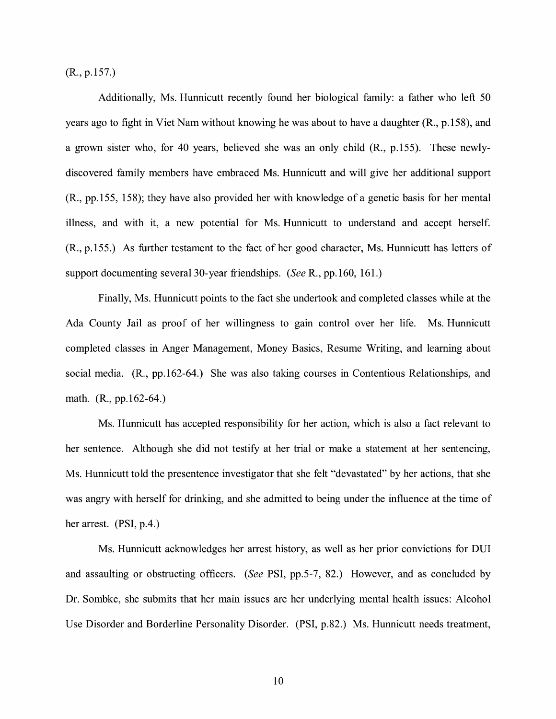(R., p.157.)

Additionally, Ms. Hunnicutt recently found her biological family: a father who left 50 years ago to fight in Viet Nam without knowing he was about to have a daughter (R., p.158), and a grown sister who, for 40 years, believed she was an only child (R., p.155). These newlydiscovered family members have embraced Ms. Hunnicutt and will give her additional support (R., pp.155, 158); they have also provided her with knowledge of a genetic basis for her mental illness, and with it, a new potential for Ms. Hunnicutt to understand and accept herself. (R., p.155.) As further testament to the fact of her good character, Ms. Hunnicutt has letters of support documenting several 30-year friendships. *(See* R., pp.160, 161.)

Finally, Ms. Hunnicutt points to the fact she undertook and completed classes while at the Ada County Jail as proof of her willingness to gain control over her life. Ms. Hunnicutt completed classes in Anger Management, Money Basics, Resume Writing, and learning about social media. (R., pp.162-64.) She was also taking courses in Contentious Relationships, and math. (R., pp.162-64.)

Ms. Hunnicutt has accepted responsibility for her action, which is also a fact relevant to her sentence. Although she did not testify at her trial or make a statement at her sentencing, Ms. Hunnicutt told the presentence investigator that she felt "devastated" by her actions, that she was angry with herself for drinking, and she admitted to being under the influence at the time of her arrest. (PSI, p.4.)

Ms. Hunnicutt acknowledges her arrest history, as well as her prior convictions for DUI and assaulting or obstructing officers. *(See* PSI, pp.5-7, 82.) However, and as concluded by Dr. Sombke, she submits that her main issues are her underlying mental health issues: Alcohol Use Disorder and Borderline Personality Disorder. (PSI, p.82.) Ms. Hunnicutt needs treatment,